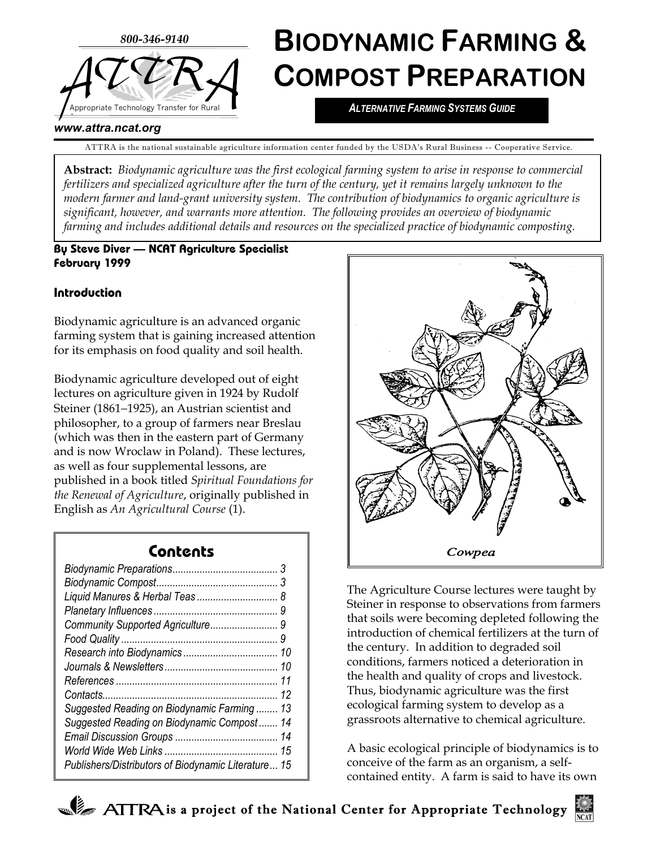

#### *www.attra.ncat.org*

ATTRA is the national sustainable agriculture information center funded by the USDA's Rural Business -- Cooperative Service.

**Abstract:** *Biodynamic agriculture was the first ecological farming system to arise in response to commercial fertilizers and specialized agriculture after the turn of the century, yet it remains largely unknown to the modern farmer and land-grant university system. The contribution of biodynamics to organic agriculture is significant, however, and warrants more attention. The following provides an overview of biodynamic farming and includes additional details and resources on the specialized practice of biodynamic composting.*

### **By Steve Diver — NCAT Agriculture Specialist February 1999**

## **Introduction**

Biodynamic agriculture is an advanced organic farming system that is gaining increased attention for its emphasis on food quality and soil health.

Biodynamic agriculture developed out of eight lectures on agriculture given in 1924 by Rudolf Steiner (1861−1925), an Austrian scientist and philosopher, to a group of farmers near Breslau (which was then in the eastern part of Germany and is now Wroclaw in Poland). These lectures, as well as four supplemental lessons, are published in a book titled *Spiritual Foundations for the Renewal of Agriculture*, originally published in English as *An Agricultural Course* (1).

# **Contents**

| Liquid Manures & Herbal Teas 8                      |
|-----------------------------------------------------|
|                                                     |
| Community Supported Agriculture<br>9                |
| 9                                                   |
| 10                                                  |
| 10                                                  |
| 11                                                  |
| 12                                                  |
| 13<br>Suggested Reading on Biodynamic Farming       |
| Suggested Reading on Biodynamic Compost<br>14       |
| 14                                                  |
| 15                                                  |
| Publishers/Distributors of Biodynamic Literature 15 |



The Agriculture Course lectures were taught by Steiner in response to observations from farmers that soils were becoming depleted following the introduction of chemical fertilizers at the turn of the century. In addition to degraded soil conditions, farmers noticed a deterioration in the health and quality of crops and livestock. Thus, biodynamic agriculture was the first ecological farming system to develop as a grassroots alternative to chemical agriculture.

A basic ecological principle of biodynamics is to conceive of the farm as an organism, a selfcontained entity. A farm is said to have its own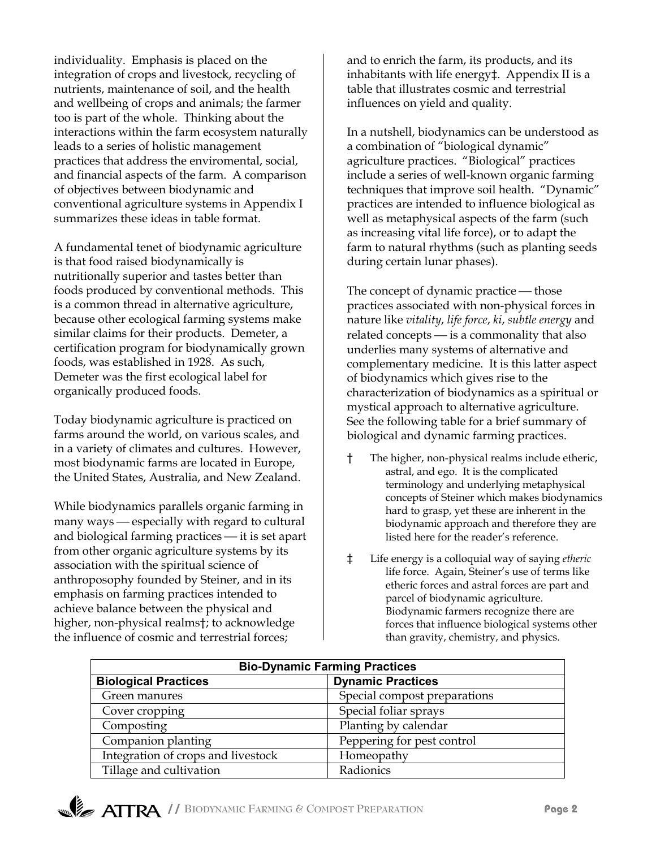individuality. Emphasis is placed on the integration of crops and livestock, recycling of nutrients, maintenance of soil, and the health and wellbeing of crops and animals; the farmer too is part of the whole. Thinking about the interactions within the farm ecosystem naturally leads to a series of holistic management practices that address the enviromental, social, and financial aspects of the farm. A comparison of objectives between biodynamic and conventional agriculture systems in Appendix I summarizes these ideas in table format.

A fundamental tenet of biodynamic agriculture is that food raised biodynamically is nutritionally superior and tastes better than foods produced by conventional methods. This is a common thread in alternative agriculture, because other ecological farming systems make similar claims for their products. Demeter, a certification program for biodynamically grown foods, was established in 1928. As such, Demeter was the first ecological label for organically produced foods.

Today biodynamic agriculture is practiced on farms around the world, on various scales, and in a variety of climates and cultures. However, most biodynamic farms are located in Europe, the United States, Australia, and New Zealand.

While biodynamics parallels organic farming in many ways  $-$  especially with regard to cultural and biological farming practices  $-$  it is set apart from other organic agriculture systems by its association with the spiritual science of anthroposophy founded by Steiner, and in its emphasis on farming practices intended to achieve balance between the physical and higher, non-physical realms†; to acknowledge the influence of cosmic and terrestrial forces;

and to enrich the farm, its products, and its inhabitants with life energy‡. Appendix II is a table that illustrates cosmic and terrestrial influences on yield and quality.

In a nutshell, biodynamics can be understood as a combination of "biological dynamic" agriculture practices. "Biological" practices include a series of well-known organic farming techniques that improve soil health. "Dynamic" practices are intended to influence biological as well as metaphysical aspects of the farm (such as increasing vital life force), or to adapt the farm to natural rhythms (such as planting seeds during certain lunar phases).

The concept of dynamic practice — those practices associated with non-physical forces in nature like *vitality*, *life force*, *ki*, *subtle energy* and related concepts  $\frac{1}{10}$  is a commonality that also underlies many systems of alternative and complementary medicine. It is this latter aspect of biodynamics which gives rise to the characterization of biodynamics as a spiritual or mystical approach to alternative agriculture. See the following table for a brief summary of biological and dynamic farming practices.

- † The higher, non-physical realms include etheric, astral, and ego. It is the complicated terminology and underlying metaphysical concepts of Steiner which makes biodynamics hard to grasp, yet these are inherent in the biodynamic approach and therefore they are listed here for the reader's reference.
- ‡ Life energy is a colloquial way of saying *etheric* life force. Again, Steiner's use of terms like etheric forces and astral forces are part and parcel of biodynamic agriculture. Biodynamic farmers recognize there are forces that influence biological systems other than gravity, chemistry, and physics.

| <b>Bio-Dynamic Farming Practices</b> |                              |  |
|--------------------------------------|------------------------------|--|
| <b>Biological Practices</b>          | <b>Dynamic Practices</b>     |  |
| Green manures                        | Special compost preparations |  |
| Cover cropping                       | Special foliar sprays        |  |
| Composting                           | Planting by calendar         |  |
| Companion planting                   | Peppering for pest control   |  |
| Integration of crops and livestock   | Homeopathy                   |  |
| Tillage and cultivation              | Radionics                    |  |

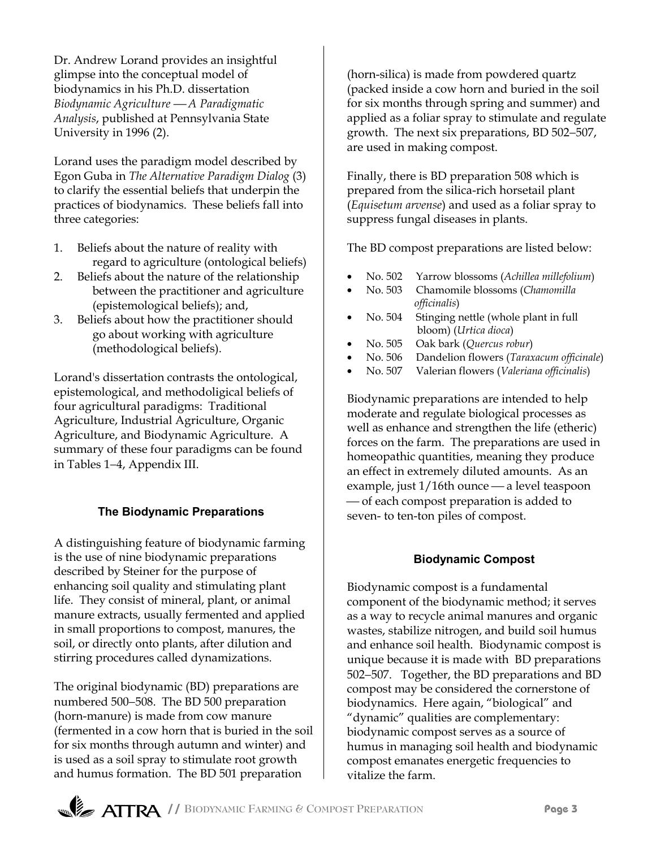Dr. Andrew Lorand provides an insightful glimpse into the conceptual model of biodynamics in his Ph.D. dissertation *Biodynamic Agriculture A Paradigmatic Analysis*, published at Pennsylvania State University in 1996 (2).

Lorand uses the paradigm model described by Egon Guba in *The Alternative Paradigm Dialog* (3) to clarify the essential beliefs that underpin the practices of biodynamics. These beliefs fall into three categories:

- 1. Beliefs about the nature of reality with regard to agriculture (ontological beliefs)
- 2. Beliefs about the nature of the relationship between the practitioner and agriculture (epistemological beliefs); and,
- 3. Beliefs about how the practitioner should go about working with agriculture (methodological beliefs).

Lorand's dissertation contrasts the ontological, epistemological, and methodoligical beliefs of four agricultural paradigms: Traditional Agriculture, Industrial Agriculture, Organic Agriculture, and Biodynamic Agriculture. A summary of these four paradigms can be found in Tables 1−4, Appendix III.

## **The Biodynamic Preparations**

A distinguishing feature of biodynamic farming is the use of nine biodynamic preparations described by Steiner for the purpose of enhancing soil quality and stimulating plant life. They consist of mineral, plant, or animal manure extracts, usually fermented and applied in small proportions to compost, manures, the soil, or directly onto plants, after dilution and stirring procedures called dynamizations.

The original biodynamic (BD) preparations are numbered 500−508. The BD 500 preparation (horn-manure) is made from cow manure (fermented in a cow horn that is buried in the soil for six months through autumn and winter) and is used as a soil spray to stimulate root growth and humus formation. The BD 501 preparation

(horn-silica) is made from powdered quartz (packed inside a cow horn and buried in the soil for six months through spring and summer) and applied as a foliar spray to stimulate and regulate growth. The next six preparations, BD 502−507, are used in making compost.

Finally, there is BD preparation 508 which is prepared from the silica-rich horsetail plant (*Equisetum arvense*) and used as a foliar spray to suppress fungal diseases in plants.

The BD compost preparations are listed below:

- No. 502 Yarrow blossoms (*Achillea millefolium*)
- No. 503 Chamomile blossoms (*Chamomilla officinalis*)
- No. 504 Stinging nettle (whole plant in full bloom) (*Urtica dioca*)
- No. 505 Oak bark (*Quercus robur*)
- No. 506 Dandelion flowers (*Taraxacum officinale*)
- No. 507 Valerian flowers (*Valeriana officinalis*)

Biodynamic preparations are intended to help moderate and regulate biological processes as well as enhance and strengthen the life (etheric) forces on the farm. The preparations are used in homeopathic quantities, meaning they produce an effect in extremely diluted amounts. As an example, just  $1/16$ th ounce — a level teaspoon — of each compost preparation is added to seven- to ten-ton piles of compost.

## **Biodynamic Compost**

Biodynamic compost is a fundamental component of the biodynamic method; it serves as a way to recycle animal manures and organic wastes, stabilize nitrogen, and build soil humus and enhance soil health. Biodynamic compost is unique because it is made with BD preparations 502−507. Together, the BD preparations and BD compost may be considered the cornerstone of biodynamics. Here again, "biological" and "dynamic" qualities are complementary: biodynamic compost serves as a source of humus in managing soil health and biodynamic compost emanates energetic frequencies to vitalize the farm.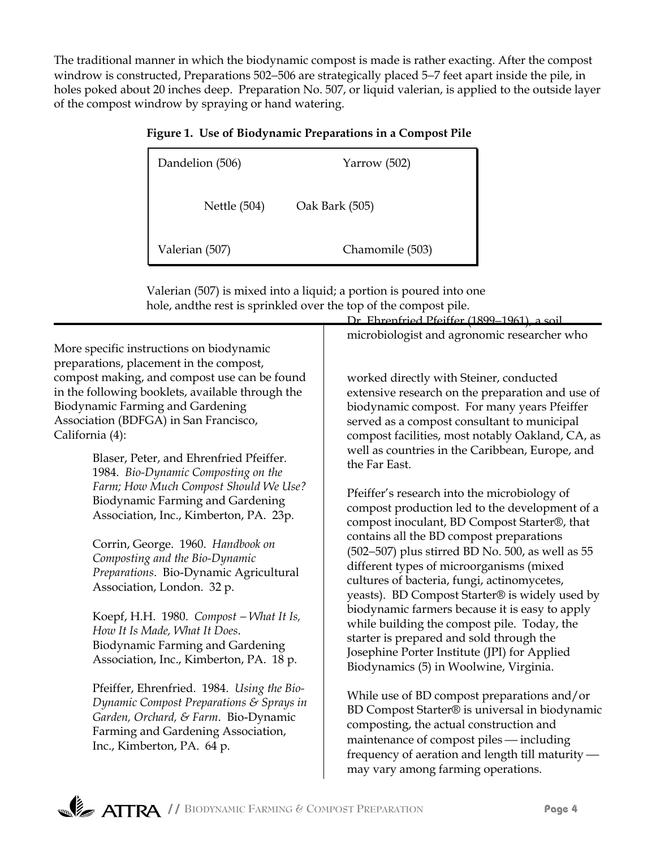The traditional manner in which the biodynamic compost is made is rather exacting. After the compost windrow is constructed, Preparations 502−506 are strategically placed 5−7 feet apart inside the pile, in holes poked about 20 inches deep. Preparation No. 507, or liquid valerian, is applied to the outside layer of the compost windrow by spraying or hand watering.

|  | Figure 1. Use of Biodynamic Preparations in a Compost Pile |  |  |
|--|------------------------------------------------------------|--|--|
|--|------------------------------------------------------------|--|--|

| Dandelion (506) | Yarrow $(502)$  |
|-----------------|-----------------|
| Nettle $(504)$  | Oak Bark (505)  |
| Valerian (507)  | Chamomile (503) |

Valerian (507) is mixed into a liquid; a portion is poured into one hole, andthe rest is sprinkled over the top of the compost pile.

More specific instructions on biodynamic preparations, placement in the compost, compost making, and compost use can be found in the following booklets, available through the Biodynamic Farming and Gardening Association (BDFGA) in San Francisco, California (4):

> Blaser, Peter, and Ehrenfried Pfeiffer. 1984. *Bio-Dynamic Composting on the Farm; How Much Compost Should We Use?* Biodynamic Farming and Gardening Association, Inc., Kimberton, PA. 23p.

Corrin, George. 1960. *Handbook on Composting and the Bio-Dynamic Preparations*. Bio-Dynamic Agricultural Association, London. 32 p.

Koepf, H.H. 1980. *Compost* − *What It Is, How It Is Made, What It Does*. Biodynamic Farming and Gardening Association, Inc., Kimberton, PA. 18 p.

Pfeiffer, Ehrenfried. 1984. *Using the Bio-Dynamic Compost Preparations & Sprays in Garden, Orchard, & Farm*. Bio-Dynamic Farming and Gardening Association, Inc., Kimberton, PA. 64 p.

microbiologist and agronomic researcher who

Dr. Ehrenfried Pfeiffer (1899–1961), a soil

worked directly with Steiner, conducted extensive research on the preparation and use of biodynamic compost. For many years Pfeiffer served as a compost consultant to municipal compost facilities, most notably Oakland, CA, as well as countries in the Caribbean, Europe, and the Far East.

Pfeiffer's research into the microbiology of compost production led to the development of a compost inoculant, BD Compost Starter®, that contains all the BD compost preparations (502−507) plus stirred BD No. 500, as well as 55 different types of microorganisms (mixed cultures of bacteria, fungi, actinomycetes, yeasts). BD Compost Starter® is widely used by biodynamic farmers because it is easy to apply while building the compost pile. Today, the starter is prepared and sold through the Josephine Porter Institute (JPI) for Applied Biodynamics (5) in Woolwine, Virginia.

While use of BD compost preparations and/or BD Compost Starter® is universal in biodynamic composting, the actual construction and maintenance of compost piles — including frequency of aeration and length till maturity may vary among farming operations.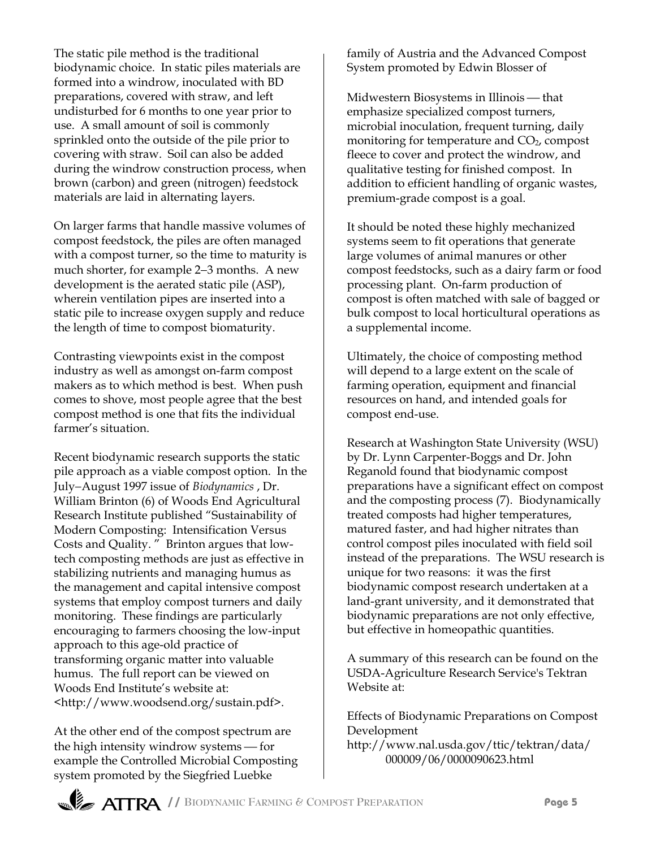The static pile method is the traditional biodynamic choice. In static piles materials are formed into a windrow, inoculated with BD preparations, covered with straw, and left undisturbed for 6 months to one year prior to use. A small amount of soil is commonly sprinkled onto the outside of the pile prior to covering with straw. Soil can also be added during the windrow construction process, when brown (carbon) and green (nitrogen) feedstock materials are laid in alternating layers.

On larger farms that handle massive volumes of compost feedstock, the piles are often managed with a compost turner, so the time to maturity is much shorter, for example 2−3 months. A new development is the aerated static pile (ASP), wherein ventilation pipes are inserted into a static pile to increase oxygen supply and reduce the length of time to compost biomaturity.

Contrasting viewpoints exist in the compost industry as well as amongst on-farm compost makers as to which method is best. When push comes to shove, most people agree that the best compost method is one that fits the individual farmer's situation.

Recent biodynamic research supports the static pile approach as a viable compost option. In the July−August 1997 issue of *Biodynamics* , Dr. William Brinton (6) of Woods End Agricultural Research Institute published "Sustainability of Modern Composting: Intensification Versus Costs and Quality. " Brinton argues that lowtech composting methods are just as effective in stabilizing nutrients and managing humus as the management and capital intensive compost systems that employ compost turners and daily monitoring. These findings are particularly encouraging to farmers choosing the low-input approach to this age-old practice of transforming organic matter into valuable humus. The full report can be viewed on Woods End Institute's website at: <http://www.woodsend.org/sustain.pdf>.

At the other end of the compost spectrum are the high intensity windrow systems - for example the Controlled Microbial Composting system promoted by the Siegfried Luebke

family of Austria and the Advanced Compost System promoted by Edwin Blosser of

Midwestern Biosystems in Illinois — that emphasize specialized compost turners, microbial inoculation, frequent turning, daily monitoring for temperature and  $CO<sub>2</sub>$ , compost fleece to cover and protect the windrow, and qualitative testing for finished compost. In addition to efficient handling of organic wastes, premium-grade compost is a goal.

It should be noted these highly mechanized systems seem to fit operations that generate large volumes of animal manures or other compost feedstocks, such as a dairy farm or food processing plant. On-farm production of compost is often matched with sale of bagged or bulk compost to local horticultural operations as a supplemental income.

Ultimately, the choice of composting method will depend to a large extent on the scale of farming operation, equipment and financial resources on hand, and intended goals for compost end-use.

Research at Washington State University (WSU) by Dr. Lynn Carpenter-Boggs and Dr. John Reganold found that biodynamic compost preparations have a significant effect on compost and the composting process (7). Biodynamically treated composts had higher temperatures, matured faster, and had higher nitrates than control compost piles inoculated with field soil instead of the preparations. The WSU research is unique for two reasons: it was the first biodynamic compost research undertaken at a land-grant university, and it demonstrated that biodynamic preparations are not only effective, but effective in homeopathic quantities.

A summary of this research can be found on the USDA-Agriculture Research Service's Tektran Website at:

Effects of Biodynamic Preparations on Compost Development

http://www.nal.usda.gov/ttic/tektran/data/ 000009/06/0000090623.html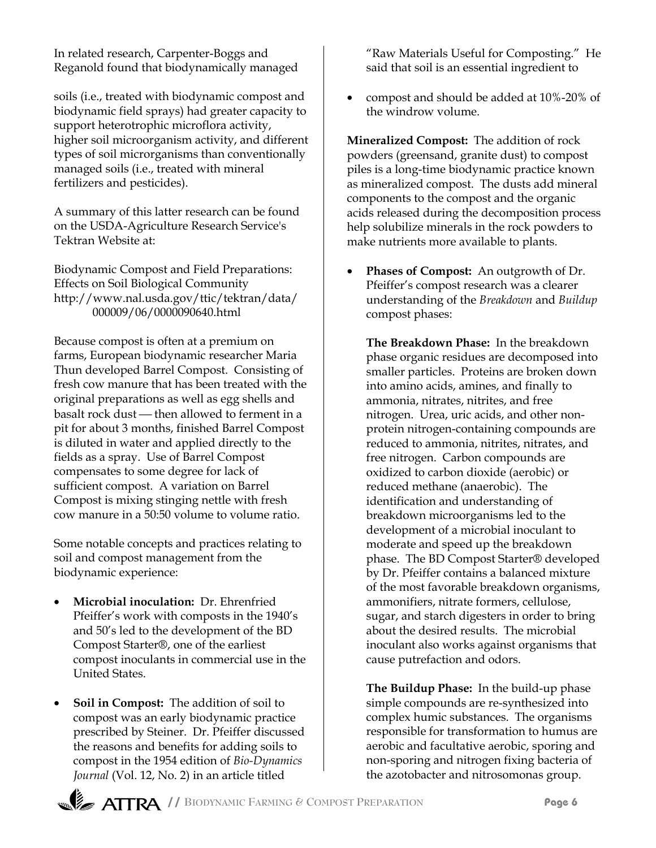In related research, Carpenter-Boggs and Reganold found that biodynamically managed

soils (i.e., treated with biodynamic compost and biodynamic field sprays) had greater capacity to support heterotrophic microflora activity, higher soil microorganism activity, and different types of soil microrganisms than conventionally managed soils (i.e., treated with mineral fertilizers and pesticides).

A summary of this latter research can be found on the USDA-Agriculture Research Service's Tektran Website at:

Biodynamic Compost and Field Preparations: Effects on Soil Biological Community http://www.nal.usda.gov/ttic/tektran/data/ 000009/06/0000090640.html

Because compost is often at a premium on farms, European biodynamic researcher Maria Thun developed Barrel Compost. Consisting of fresh cow manure that has been treated with the original preparations as well as egg shells and basalt rock dust - then allowed to ferment in a pit for about 3 months, finished Barrel Compost is diluted in water and applied directly to the fields as a spray. Use of Barrel Compost compensates to some degree for lack of sufficient compost. A variation on Barrel Compost is mixing stinging nettle with fresh cow manure in a 50:50 volume to volume ratio.

Some notable concepts and practices relating to soil and compost management from the biodynamic experience:

- **Microbial inoculation:** Dr. Ehrenfried Pfeiffer's work with composts in the 1940's and 50's led to the development of the BD Compost Starter®, one of the earliest compost inoculants in commercial use in the United States.
- **Soil in Compost:** The addition of soil to compost was an early biodynamic practice prescribed by Steiner. Dr. Pfeiffer discussed the reasons and benefits for adding soils to compost in the 1954 edition of *Bio-Dynamics Journal* (Vol. 12, No. 2) in an article titled

"Raw Materials Useful for Composting." He said that soil is an essential ingredient to

• compost and should be added at 10%-20% of the windrow volume.

**Mineralized Compost:** The addition of rock powders (greensand, granite dust) to compost piles is a long-time biodynamic practice known as mineralized compost. The dusts add mineral components to the compost and the organic acids released during the decomposition process help solubilize minerals in the rock powders to make nutrients more available to plants.

• **Phases of Compost:** An outgrowth of Dr. Pfeiffer's compost research was a clearer understanding of the *Breakdown* and *Buildup* compost phases:

**The Breakdown Phase:** In the breakdown phase organic residues are decomposed into smaller particles. Proteins are broken down into amino acids, amines, and finally to ammonia, nitrates, nitrites, and free nitrogen. Urea, uric acids, and other nonprotein nitrogen-containing compounds are reduced to ammonia, nitrites, nitrates, and free nitrogen. Carbon compounds are oxidized to carbon dioxide (aerobic) or reduced methane (anaerobic). The identification and understanding of breakdown microorganisms led to the development of a microbial inoculant to moderate and speed up the breakdown phase. The BD Compost Starter® developed by Dr. Pfeiffer contains a balanced mixture of the most favorable breakdown organisms, ammonifiers, nitrate formers, cellulose, sugar, and starch digesters in order to bring about the desired results. The microbial inoculant also works against organisms that cause putrefaction and odors.

**The Buildup Phase:** In the build-up phase simple compounds are re-synthesized into complex humic substances. The organisms responsible for transformation to humus are aerobic and facultative aerobic, sporing and non-sporing and nitrogen fixing bacteria of the azotobacter and nitrosomonas group.

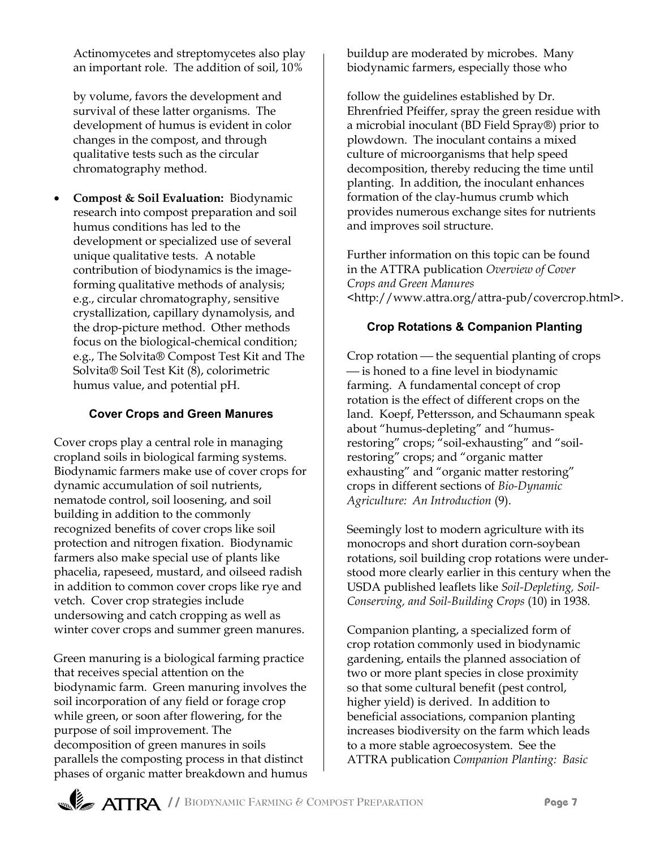Actinomycetes and streptomycetes also play an important role. The addition of soil, 10%

by volume, favors the development and survival of these latter organisms. The development of humus is evident in color changes in the compost, and through qualitative tests such as the circular chromatography method.

• **Compost & Soil Evaluation:** Biodynamic research into compost preparation and soil humus conditions has led to the development or specialized use of several unique qualitative tests. A notable contribution of biodynamics is the imageforming qualitative methods of analysis; e.g., circular chromatography, sensitive crystallization, capillary dynamolysis, and the drop-picture method. Other methods focus on the biological-chemical condition; e.g., The Solvita® Compost Test Kit and The Solvita® Soil Test Kit (8), colorimetric humus value, and potential pH.

## **Cover Crops and Green Manures**

Cover crops play a central role in managing cropland soils in biological farming systems. Biodynamic farmers make use of cover crops for dynamic accumulation of soil nutrients, nematode control, soil loosening, and soil building in addition to the commonly recognized benefits of cover crops like soil protection and nitrogen fixation. Biodynamic farmers also make special use of plants like phacelia, rapeseed, mustard, and oilseed radish in addition to common cover crops like rye and vetch. Cover crop strategies include undersowing and catch cropping as well as winter cover crops and summer green manures.

Green manuring is a biological farming practice that receives special attention on the biodynamic farm. Green manuring involves the soil incorporation of any field or forage crop while green, or soon after flowering, for the purpose of soil improvement. The decomposition of green manures in soils parallels the composting process in that distinct phases of organic matter breakdown and humus buildup are moderated by microbes. Many biodynamic farmers, especially those who

follow the guidelines established by Dr. Ehrenfried Pfeiffer, spray the green residue with a microbial inoculant (BD Field Spray®) prior to plowdown. The inoculant contains a mixed culture of microorganisms that help speed decomposition, thereby reducing the time until planting. In addition, the inoculant enhances formation of the clay-humus crumb which provides numerous exchange sites for nutrients and improves soil structure.

Further information on this topic can be found in the ATTRA publication *Overview of Cover Crops and Green Manures <*http://www.attra.org/attra-pub/covercrop.html>.

## **Crop Rotations & Companion Planting**

Crop rotation — the sequential planting of crops  $\frac{1}{10}$  is honed to a fine level in biodynamic farming. A fundamental concept of crop rotation is the effect of different crops on the land. Koepf, Pettersson, and Schaumann speak about "humus-depleting" and "humusrestoring" crops; "soil-exhausting" and "soilrestoring" crops; and "organic matter exhausting" and "organic matter restoring" crops in different sections of *Bio-Dynamic Agriculture: An Introduction* (9).

Seemingly lost to modern agriculture with its monocrops and short duration corn-soybean rotations, soil building crop rotations were understood more clearly earlier in this century when the USDA published leaflets like *Soil-Depleting, Soil-Conserving, and Soil-Building Crops* (10) in 1938*.*

Companion planting, a specialized form of crop rotation commonly used in biodynamic gardening, entails the planned association of two or more plant species in close proximity so that some cultural benefit (pest control, higher yield) is derived. In addition to beneficial associations, companion planting increases biodiversity on the farm which leads to a more stable agroecosystem. See the ATTRA publication *Companion Planting: Basic*

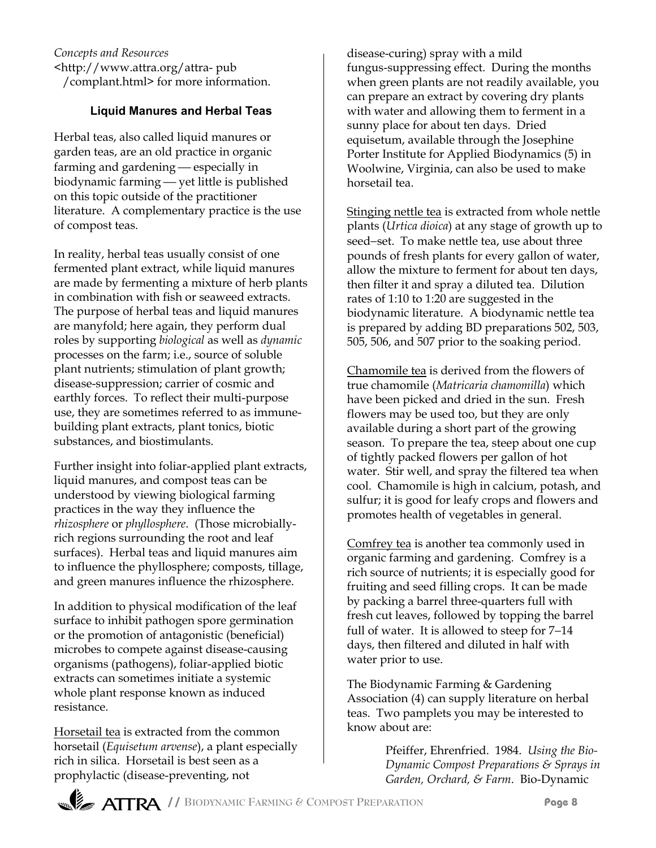*Concepts and Resources* <http://www.attra.org/attra- pub /complant.html> for more information.

## **Liquid Manures and Herbal Teas**

Herbal teas, also called liquid manures or garden teas, are an old practice in organic farming and gardening  $-$  especially in biodynamic farming - yet little is published on this topic outside of the practitioner literature. A complementary practice is the use of compost teas.

In reality, herbal teas usually consist of one fermented plant extract, while liquid manures are made by fermenting a mixture of herb plants in combination with fish or seaweed extracts. The purpose of herbal teas and liquid manures are manyfold; here again, they perform dual roles by supporting *biological* as well as *dynamic* processes on the farm; i.e., source of soluble plant nutrients; stimulation of plant growth; disease-suppression; carrier of cosmic and earthly forces. To reflect their multi-purpose use, they are sometimes referred to as immunebuilding plant extracts, plant tonics, biotic substances, and biostimulants.

Further insight into foliar-applied plant extracts, liquid manures, and compost teas can be understood by viewing biological farming practices in the way they influence the *rhizosphere* or *phyllosphere*. (Those microbiallyrich regions surrounding the root and leaf surfaces). Herbal teas and liquid manures aim to influence the phyllosphere; composts, tillage, and green manures influence the rhizosphere.

In addition to physical modification of the leaf surface to inhibit pathogen spore germination or the promotion of antagonistic (beneficial) microbes to compete against disease-causing organisms (pathogens), foliar-applied biotic extracts can sometimes initiate a systemic whole plant response known as induced resistance.

Horsetail tea is extracted from the common horsetail (*Equisetum arvense*), a plant especially rich in silica. Horsetail is best seen as a prophylactic (disease-preventing, not

disease-curing) spray with a mild fungus-suppressing effect. During the months when green plants are not readily available, you can prepare an extract by covering dry plants with water and allowing them to ferment in a sunny place for about ten days. Dried equisetum, available through the Josephine Porter Institute for Applied Biodynamics (5) in Woolwine, Virginia, can also be used to make horsetail tea.

Stinging nettle tea is extracted from whole nettle plants (*Urtica dioica*) at any stage of growth up to seed−set. To make nettle tea, use about three pounds of fresh plants for every gallon of water, allow the mixture to ferment for about ten days, then filter it and spray a diluted tea. Dilution rates of 1:10 to 1:20 are suggested in the biodynamic literature. A biodynamic nettle tea is prepared by adding BD preparations 502, 503, 505, 506, and 507 prior to the soaking period.

Chamomile tea is derived from the flowers of true chamomile (*Matricaria chamomilla*) which have been picked and dried in the sun. Fresh flowers may be used too, but they are only available during a short part of the growing season. To prepare the tea, steep about one cup of tightly packed flowers per gallon of hot water. Stir well, and spray the filtered tea when cool. Chamomile is high in calcium, potash, and sulfur; it is good for leafy crops and flowers and promotes health of vegetables in general.

Comfrey tea is another tea commonly used in organic farming and gardening. Comfrey is a rich source of nutrients; it is especially good for fruiting and seed filling crops. It can be made by packing a barrel three-quarters full with fresh cut leaves, followed by topping the barrel full of water. It is allowed to steep for 7−14 days, then filtered and diluted in half with water prior to use.

The Biodynamic Farming & Gardening Association (4) can supply literature on herbal teas. Two pamplets you may be interested to know about are:

> Pfeiffer, Ehrenfried. 1984. *Using the Bio-Dynamic Compost Preparations & Sprays in Garden, Orchard, & Farm*. Bio-Dynamic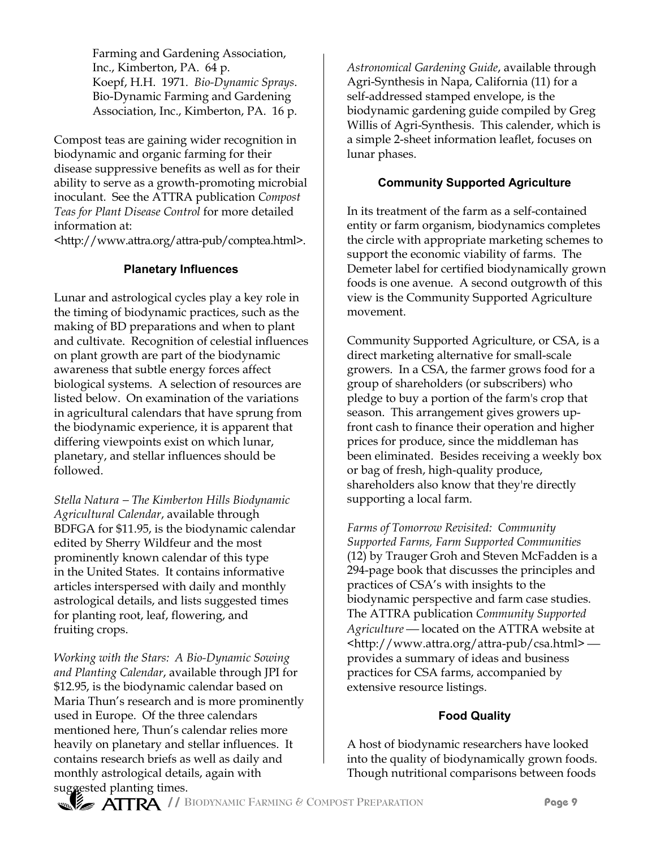Farming and Gardening Association, Inc., Kimberton, PA. 64 p. Koepf, H.H. 1971. *Bio-Dynamic Sprays*. Bio-Dynamic Farming and Gardening Association, Inc., Kimberton, PA. 16 p.

Compost teas are gaining wider recognition in biodynamic and organic farming for their disease suppressive benefits as well as for their ability to serve as a growth-promoting microbial inoculant. See the ATTRA publication *Compost Teas for Plant Disease Control* for more detailed information at:

<http://www.attra.org/attra-pub/comptea.html>.

## **Planetary Influences**

Lunar and astrological cycles play a key role in the timing of biodynamic practices, such as the making of BD preparations and when to plant and cultivate. Recognition of celestial influences on plant growth are part of the biodynamic awareness that subtle energy forces affect biological systems. A selection of resources are listed below. On examination of the variations in agricultural calendars that have sprung from the biodynamic experience, it is apparent that differing viewpoints exist on which lunar, planetary, and stellar influences should be followed.

*Stella Natura* − *The Kimberton Hills Biodynamic Agricultural Calendar*, available through BDFGA for \$11.95, is the biodynamic calendar edited by Sherry Wildfeur and the most prominently known calendar of this type in the United States. It contains informative articles interspersed with daily and monthly astrological details, and lists suggested times for planting root, leaf, flowering, and fruiting crops.

*Working with the Stars: A Bio-Dynamic Sowing and Planting Calendar*, available through JPI for \$12.95, is the biodynamic calendar based on Maria Thun's research and is more prominently used in Europe. Of the three calendars mentioned here, Thun's calendar relies more heavily on planetary and stellar influences. It contains research briefs as well as daily and monthly astrological details, again with suggested planting times.

*Astronomical Gardening Guide*, available through Agri-Synthesis in Napa, California (11) for a self-addressed stamped envelope, is the biodynamic gardening guide compiled by Greg Willis of Agri-Synthesis. This calender, which is a simple 2-sheet information leaflet, focuses on lunar phases.

# **Community Supported Agriculture**

In its treatment of the farm as a self-contained entity or farm organism, biodynamics completes the circle with appropriate marketing schemes to support the economic viability of farms. The Demeter label for certified biodynamically grown foods is one avenue. A second outgrowth of this view is the Community Supported Agriculture movement.

Community Supported Agriculture, or CSA, is a direct marketing alternative for small-scale growers. In a CSA, the farmer grows food for a group of shareholders (or subscribers) who pledge to buy a portion of the farm's crop that season. This arrangement gives growers upfront cash to finance their operation and higher prices for produce, since the middleman has been eliminated. Besides receiving a weekly box or bag of fresh, high-quality produce, shareholders also know that they're directly supporting a local farm.

*Farms of Tomorrow Revisited: Community Supported Farms, Farm Supported Communities* (12) by Trauger Groh and Steven McFadden is a 294-page book that discusses the principles and practices of CSA's with insights to the biodynamic perspective and farm case studies. The ATTRA publication *Community Supported* Agriculture – located on the ATTRA website at <http://www.attra.org/attra-pub/csa.html> provides a summary of ideas and business practices for CSA farms, accompanied by extensive resource listings.

# **Food Quality**

A host of biodynamic researchers have looked into the quality of biodynamically grown foods. Though nutritional comparisons between foods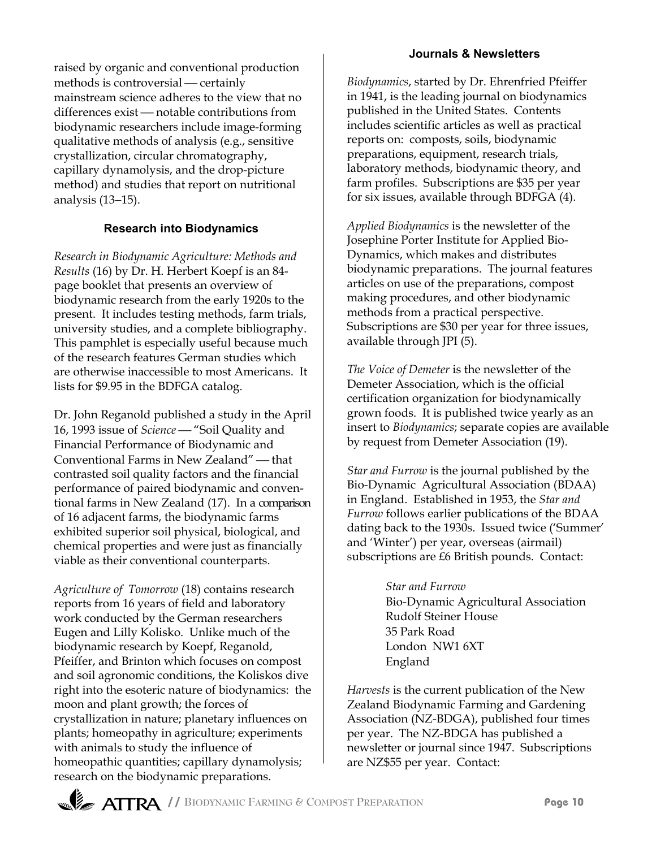raised by organic and conventional production methods is controversial - certainly mainstream science adheres to the view that no differences exist - notable contributions from biodynamic researchers include image-forming qualitative methods of analysis (e.g., sensitive crystallization, circular chromatography, capillary dynamolysis, and the drop-picture method) and studies that report on nutritional analysis (13−15).

## **Research into Biodynamics**

*Research in Biodynamic Agriculture: Methods and Results* (16) by Dr. H. Herbert Koepf is an 84 page booklet that presents an overview of biodynamic research from the early 1920s to the present. It includes testing methods, farm trials, university studies, and a complete bibliography. This pamphlet is especially useful because much of the research features German studies which are otherwise inaccessible to most Americans. It lists for \$9.95 in the BDFGA catalog.

Dr. John Reganold published a study in the April 16, 1993 issue of *Science* "Soil Quality and Financial Performance of Biodynamic and Conventional Farms in New Zealand" - that contrasted soil quality factors and the financial performance of paired biodynamic and conventional farms in New Zealand (17). In a comparison of 16 adjacent farms, the biodynamic farms exhibited superior soil physical, biological, and chemical properties and were just as financially viable as their conventional counterparts.

*Agriculture of Tomorrow* (18) contains research reports from 16 years of field and laboratory work conducted by the German researchers Eugen and Lilly Kolisko. Unlike much of the biodynamic research by Koepf, Reganold, Pfeiffer, and Brinton which focuses on compost and soil agronomic conditions, the Koliskos dive right into the esoteric nature of biodynamics: the moon and plant growth; the forces of crystallization in nature; planetary influences on plants; homeopathy in agriculture; experiments with animals to study the influence of homeopathic quantities; capillary dynamolysis; research on the biodynamic preparations.

#### **Journals & Newsletters**

*Biodynamics*, started by Dr. Ehrenfried Pfeiffer in 1941, is the leading journal on biodynamics published in the United States. Contents includes scientific articles as well as practical reports on: composts, soils, biodynamic preparations, equipment, research trials, laboratory methods, biodynamic theory, and farm profiles. Subscriptions are \$35 per year for six issues, available through BDFGA (4).

*Applied Biodynamics* is the newsletter of the Josephine Porter Institute for Applied Bio-Dynamics, which makes and distributes biodynamic preparations. The journal features articles on use of the preparations, compost making procedures, and other biodynamic methods from a practical perspective. Subscriptions are \$30 per year for three issues, available through JPI (5).

*The Voice of Demeter* is the newsletter of the Demeter Association, which is the official certification organization for biodynamically grown foods. It is published twice yearly as an insert to *Biodynamics*; separate copies are available by request from Demeter Association (19).

*Star and Furrow* is the journal published by the Bio-Dynamic Agricultural Association (BDAA) in England. Established in 1953, the *Star and Furrow* follows earlier publications of the BDAA dating back to the 1930s. Issued twice ('Summer' and 'Winter') per year, overseas (airmail) subscriptions are £6 British pounds. Contact:

> *Star and Furrow* Bio-Dynamic Agricultural Association Rudolf Steiner House 35 Park Road London NW1 6XT England

*Harvests* is the current publication of the New Zealand Biodynamic Farming and Gardening Association (NZ-BDGA), published four times per year. The NZ-BDGA has published a newsletter or journal since 1947. Subscriptions are NZ\$55 per year. Contact: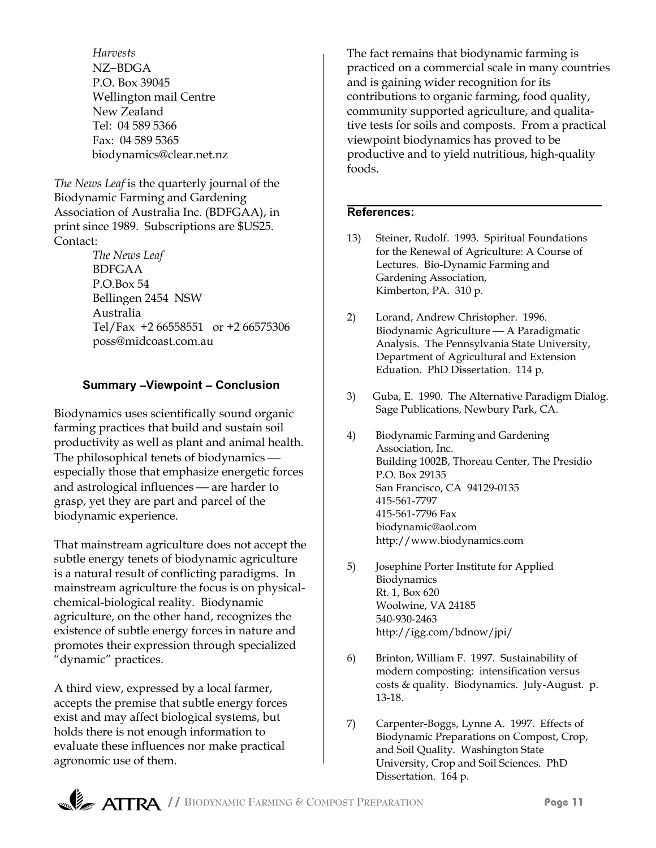*Harvests* NZ−BDGA P.O. Box 39045 Wellington mail Centre New Zealand Tel: 04 589 5366 Fax: 04 589 5365 biodynamics@clear.net.nz

*The News Leaf* is the quarterly journal of the Biodynamic Farming and Gardening Association of Australia Inc. (BDFGAA), in print since 1989. Subscriptions are \$US25. Contact:

> *The News Leaf* BDFGAA P.O.Box 54 Bellingen 2454 NSW Australia Tel/Fax +2 66558551 or +2 66575306 poss@midcoast.com.au

## **Summary** −**Viewpoint** − **Conclusion**

Biodynamics uses scientifically sound organic farming practices that build and sustain soil productivity as well as plant and animal health. The philosophical tenets of biodynamics especially those that emphasize energetic forces and astrological influences — are harder to grasp, yet they are part and parcel of the biodynamic experience.

That mainstream agriculture does not accept the subtle energy tenets of biodynamic agriculture is a natural result of conflicting paradigms. In mainstream agriculture the focus is on physicalchemical-biological reality. Biodynamic agriculture, on the other hand, recognizes the existence of subtle energy forces in nature and promotes their expression through specialized "dynamic" practices.

A third view, expressed by a local farmer, accepts the premise that subtle energy forces exist and may affect biological systems, but holds there is not enough information to evaluate these influences nor make practical agronomic use of them.

The fact remains that biodynamic farming is practiced on a commercial scale in many countries and is gaining wider recognition for its contributions to organic farming, food quality, community supported agriculture, and qualitative tests for soils and composts. From a practical viewpoint biodynamics has proved to be productive and to yield nutritious, high-quality foods.

#### **References:**

- 13) Steiner, Rudolf. 1993. Spiritual Foundations for the Renewal of Agriculture: A Course of Lectures. Bio-Dynamic Farming and Gardening Association, Kimberton, PA. 310 p.
- 2) Lorand, Andrew Christopher. 1996. Biodynamic Agriculture — A Paradigmatic Analysis. The Pennsylvania State University, Department of Agricultural and Extension Eduation. PhD Dissertation. 114 p.
- 3) Guba, E. 1990. The Alternative Paradigm Dialog. Sage Publications, Newbury Park, CA.
- 4) Biodynamic Farming and Gardening Association, Inc. Building 1002B, Thoreau Center, The Presidio P.O. Box 29135 San Francisco, CA 94129-0135 415-561-7797 415-561-7796 Fax biodynamic@aol.com http://www.biodynamics.com
- 5) Josephine Porter Institute for Applied Biodynamics Rt. 1, Box 620 Woolwine, VA 24185 540-930-2463 http://igg.com/bdnow/jpi/
- 6) Brinton, William F. 1997. Sustainability of modern composting: intensification versus costs & quality. Biodynamics. July-August. p. 13-18.
- 7) Carpenter-Boggs, Lynne A. 1997. Effects of Biodynamic Preparations on Compost, Crop, and Soil Quality. Washington State University, Crop and Soil Sciences. PhD Dissertation. 164 p.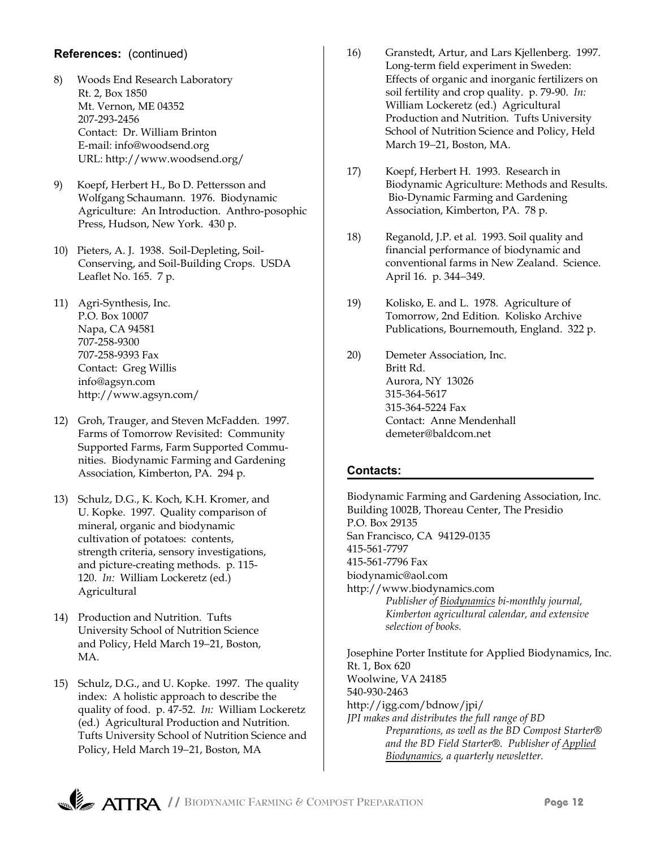#### **References:** (continued)

- 8) Woods End Research Laboratory Rt. 2, Box 1850 Mt. Vernon, ME 04352 207-293-2456 Contact: Dr. William Brinton E-mail: info@woodsend.org URL: http://www.woodsend.org/
- 9) Koepf, Herbert H., Bo D. Pettersson and Wolfgang Schaumann. 1976. Biodynamic Agriculture: An Introduction. Anthro-posophic Press, Hudson, New York. 430 p.
- 10) Pieters, A. J. 1938. Soil-Depleting, Soil-Conserving, and Soil-Building Crops. USDA Leaflet No. 165. 7 p.
- 11) Agri-Synthesis, Inc. P.O. Box 10007 Napa, CA 94581 707-258-9300 707-258-9393 Fax Contact: Greg Willis info@agsyn.com http://www.agsyn.com/
- 12) Groh, Trauger, and Steven McFadden. 1997. Farms of Tomorrow Revisited: Community Supported Farms, Farm Supported Communities. Biodynamic Farming and Gardening Association, Kimberton, PA. 294 p.
- 13) Schulz, D.G., K. Koch, K.H. Kromer, and U. Kopke. 1997. Quality comparison of mineral, organic and biodynamic cultivation of potatoes: contents, strength criteria, sensory investigations, and picture-creating methods. p. 115- 120. *In:* William Lockeretz (ed.) Agricultural
- 14) Production and Nutrition. Tufts University School of Nutrition Science and Policy, Held March 19−21, Boston, MA.
- 15) Schulz, D.G., and U. Kopke. 1997. The quality index: A holistic approach to describe the quality of food. p. 47-52. *In:* William Lockeretz (ed.) Agricultural Production and Nutrition. Tufts University School of Nutrition Science and Policy, Held March 19−21, Boston, MA
- 16) Granstedt, Artur, and Lars Kjellenberg. 1997. Long-term field experiment in Sweden: Effects of organic and inorganic fertilizers on soil fertility and crop quality. p. 79-90. *In:* William Lockeretz (ed.) Agricultural Production and Nutrition. Tufts University School of Nutrition Science and Policy, Held March 19−21, Boston, MA.
- 17) Koepf, Herbert H. 1993. Research in Biodynamic Agriculture: Methods and Results. Bio-Dynamic Farming and Gardening Association, Kimberton, PA. 78 p.
- 18) Reganold, J.P. et al. 1993. Soil quality and financial performance of biodynamic and conventional farms in New Zealand. Science. April 16. p. 344−349.
- 19) Kolisko, E. and L. 1978. Agriculture of Tomorrow, 2nd Edition. Kolisko Archive Publications, Bournemouth, England. 322 p.
- 20) Demeter Association, Inc. Britt Rd. Aurora, NY 13026 315-364-5617 315-364-5224 Fax Contact: Anne Mendenhall demeter@baldcom.net

#### **Contacts:**

Biodynamic Farming and Gardening Association, Inc. Building 1002B, Thoreau Center, The Presidio P.O. Box 29135 San Francisco, CA 94129-0135 415-561-7797 415-561-7796 Fax biodynamic@aol.com http://www.biodynamics.com *Publisher of Biodynamics bi-monthly journal, Kimberton agricultural calendar, and extensive selection of books.*

Josephine Porter Institute for Applied Biodynamics, Inc. Rt. 1, Box 620 Woolwine, VA 24185 540-930-2463 http://igg.com/bdnow/jpi/ *JPI makes and distributes the full range of BD Preparations, as well as the BD Compost Starter® and the BD Field Starter®. Publisher of Applied Biodynamics, a quarterly newsletter.* 

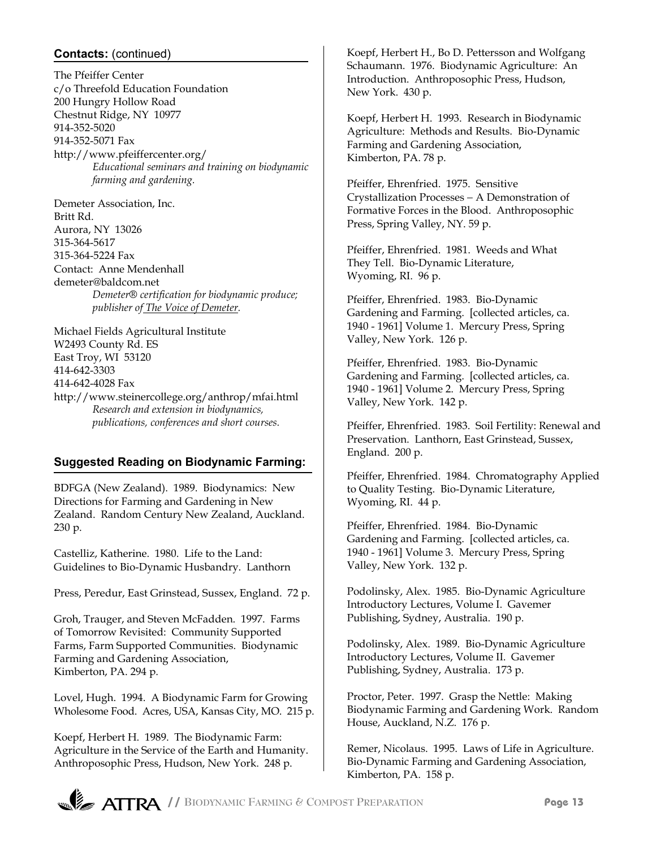### **Contacts:** (continued)

The Pfeiffer Center c/o Threefold Education Foundation 200 Hungry Hollow Road Chestnut Ridge, NY 10977 914-352-5020 914-352-5071 Fax http://www.pfeiffercenter.org/ *Educational seminars and training on biodynamic farming and gardening.*

Demeter Association, Inc. Britt Rd. Aurora, NY 13026 315-364-5617 315-364-5224 Fax Contact: Anne Mendenhall demeter@baldcom.net *Demeter® certification for biodynamic produce; publisher of The Voice of Demeter.*

Michael Fields Agricultural Institute W2493 County Rd. ES East Troy, WI 53120 414-642-3303 414-642-4028 Fax http://www.steinercollege.org/anthrop/mfai.html *Research and extension in biodynamics, publications, conferences and short courses.*

## **Suggested Reading on Biodynamic Farming:**

BDFGA (New Zealand). 1989. Biodynamics: New Directions for Farming and Gardening in New Zealand. Random Century New Zealand, Auckland. 230 p.

Castelliz, Katherine. 1980. Life to the Land: Guidelines to Bio-Dynamic Husbandry. Lanthorn

Press, Peredur, East Grinstead, Sussex, England. 72 p.

Groh, Trauger, and Steven McFadden. 1997. Farms of Tomorrow Revisited: Community Supported Farms, Farm Supported Communities. Biodynamic Farming and Gardening Association, Kimberton, PA. 294 p.

Lovel, Hugh. 1994. A Biodynamic Farm for Growing Wholesome Food. Acres, USA, Kansas City, MO. 215 p.

Koepf, Herbert H. 1989. The Biodynamic Farm: Agriculture in the Service of the Earth and Humanity. Anthroposophic Press, Hudson, New York. 248 p.

Koepf, Herbert H., Bo D. Pettersson and Wolfgang Schaumann. 1976. Biodynamic Agriculture: An Introduction. Anthroposophic Press, Hudson, New York. 430 p.

Koepf, Herbert H. 1993. Research in Biodynamic Agriculture: Methods and Results. Bio-Dynamic Farming and Gardening Association, Kimberton, PA. 78 p.

Pfeiffer, Ehrenfried. 1975. Sensitive Crystallization Processes − A Demonstration of Formative Forces in the Blood. Anthroposophic Press, Spring Valley, NY. 59 p.

Pfeiffer, Ehrenfried. 1981. Weeds and What They Tell. Bio-Dynamic Literature, Wyoming, RI. 96 p.

Pfeiffer, Ehrenfried. 1983. Bio-Dynamic Gardening and Farming. [collected articles, ca. 1940 - 1961] Volume 1. Mercury Press, Spring Valley, New York. 126 p.

Pfeiffer, Ehrenfried. 1983. Bio-Dynamic Gardening and Farming. [collected articles, ca. 1940 - 1961] Volume 2. Mercury Press, Spring Valley, New York. 142 p.

Pfeiffer, Ehrenfried. 1983. Soil Fertility: Renewal and Preservation. Lanthorn, East Grinstead, Sussex, England. 200 p.

Pfeiffer, Ehrenfried. 1984. Chromatography Applied to Quality Testing. Bio-Dynamic Literature, Wyoming, RI. 44 p.

Pfeiffer, Ehrenfried. 1984. Bio-Dynamic Gardening and Farming. [collected articles, ca. 1940 - 1961] Volume 3. Mercury Press, Spring Valley, New York. 132 p.

Podolinsky, Alex. 1985. Bio-Dynamic Agriculture Introductory Lectures, Volume I. Gavemer Publishing, Sydney, Australia. 190 p.

Podolinsky, Alex. 1989. Bio-Dynamic Agriculture Introductory Lectures, Volume II. Gavemer Publishing, Sydney, Australia. 173 p.

Proctor, Peter. 1997. Grasp the Nettle: Making Biodynamic Farming and Gardening Work. Random House, Auckland, N.Z. 176 p.

Remer, Nicolaus. 1995. Laws of Life in Agriculture. Bio-Dynamic Farming and Gardening Association, Kimberton, PA. 158 p.

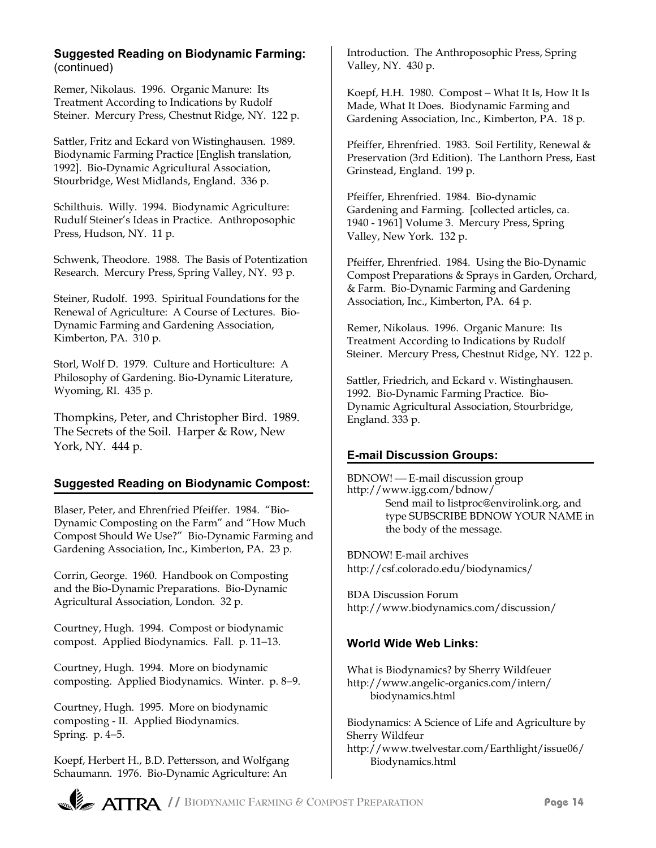#### **Suggested Reading on Biodynamic Farming:** (continued)

Remer, Nikolaus. 1996. Organic Manure: Its Treatment According to Indications by Rudolf Steiner. Mercury Press, Chestnut Ridge, NY. 122 p.

Sattler, Fritz and Eckard von Wistinghausen. 1989. Biodynamic Farming Practice [English translation, 1992]. Bio-Dynamic Agricultural Association, Stourbridge, West Midlands, England. 336 p.

Schilthuis. Willy. 1994. Biodynamic Agriculture: Rudulf Steiner's Ideas in Practice. Anthroposophic Press, Hudson, NY. 11 p.

Schwenk, Theodore. 1988. The Basis of Potentization Research. Mercury Press, Spring Valley, NY. 93 p.

Steiner, Rudolf. 1993. Spiritual Foundations for the Renewal of Agriculture: A Course of Lectures. Bio-Dynamic Farming and Gardening Association, Kimberton, PA. 310 p.

Storl, Wolf D. 1979. Culture and Horticulture: A Philosophy of Gardening. Bio-Dynamic Literature, Wyoming, RI. 435 p.

Thompkins, Peter, and Christopher Bird. 1989. The Secrets of the Soil. Harper & Row, New York, NY. 444 p.

## **Suggested Reading on Biodynamic Compost:**

Blaser, Peter, and Ehrenfried Pfeiffer. 1984. "Bio-Dynamic Composting on the Farm" and "How Much Compost Should We Use?" Bio-Dynamic Farming and Gardening Association, Inc., Kimberton, PA. 23 p.

Corrin, George. 1960. Handbook on Composting and the Bio-Dynamic Preparations. Bio-Dynamic Agricultural Association, London. 32 p.

Courtney, Hugh. 1994. Compost or biodynamic compost. Applied Biodynamics. Fall. p. 11−13.

Courtney, Hugh. 1994. More on biodynamic composting. Applied Biodynamics. Winter. p. 8−9.

Courtney, Hugh. 1995. More on biodynamic composting - II. Applied Biodynamics. Spring. p. 4−5.

Koepf, Herbert H., B.D. Pettersson, and Wolfgang Schaumann. 1976. Bio-Dynamic Agriculture: An

Introduction. The Anthroposophic Press, Spring Valley, NY. 430 p.

Koepf, H.H. 1980. Compost − What It Is, How It Is Made, What It Does. Biodynamic Farming and Gardening Association, Inc., Kimberton, PA. 18 p.

Pfeiffer, Ehrenfried. 1983. Soil Fertility, Renewal & Preservation (3rd Edition). The Lanthorn Press, East Grinstead, England. 199 p.

Pfeiffer, Ehrenfried. 1984. Bio-dynamic Gardening and Farming. [collected articles, ca. 1940 - 1961] Volume 3. Mercury Press, Spring Valley, New York. 132 p.

Pfeiffer, Ehrenfried. 1984. Using the Bio-Dynamic Compost Preparations & Sprays in Garden, Orchard, & Farm. Bio-Dynamic Farming and Gardening Association, Inc., Kimberton, PA. 64 p.

Remer, Nikolaus. 1996. Organic Manure: Its Treatment According to Indications by Rudolf Steiner. Mercury Press, Chestnut Ridge, NY. 122 p.

Sattler, Friedrich, and Eckard v. Wistinghausen. 1992. Bio-Dynamic Farming Practice. Bio-Dynamic Agricultural Association, Stourbridge, England. 333 p.

## **E-mail Discussion Groups:**

BDNOW! E-mail discussion group http://www.igg.com/bdnow/ Send mail to listproc@envirolink.org, and type SUBSCRIBE BDNOW YOUR NAME in the body of the message.

BDNOW! E-mail archives http://csf.colorado.edu/biodynamics/

BDA Discussion Forum http://www.biodynamics.com/discussion/

#### **World Wide Web Links:**

What is Biodynamics? by Sherry Wildfeuer http://www.angelic-organics.com/intern/ biodynamics.html

Biodynamics: A Science of Life and Agriculture by Sherry Wildfeur http://www.twelvestar.com/Earthlight/issue06/ Biodynamics.html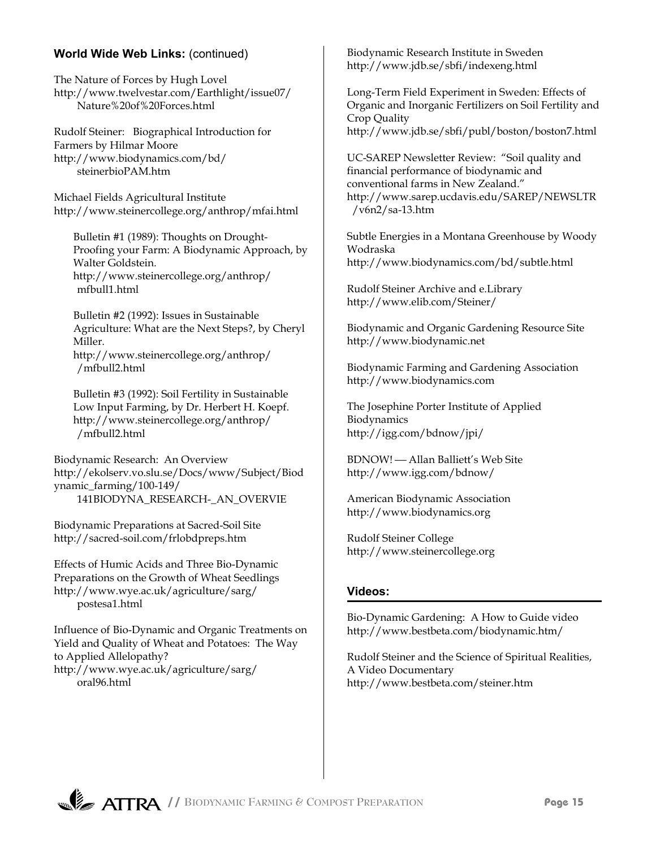## **World Wide Web Links:** (continued)

The Nature of Forces by Hugh Lovel http://www.twelvestar.com/Earthlight/issue07/ Nature%20of%20Forces.html

Rudolf Steiner: Biographical Introduction for Farmers by Hilmar Moore http://www.biodynamics.com/bd/ steinerbioPAM.htm

Michael Fields Agricultural Institute http://www.steinercollege.org/anthrop/mfai.html

Bulletin #1 (1989): Thoughts on Drought-Proofing your Farm: A Biodynamic Approach, by Walter Goldstein. http://www.steinercollege.org/anthrop/ mfbull1.html

Bulletin #2 (1992): Issues in Sustainable Agriculture: What are the Next Steps?, by Cheryl Miller. http://www.steinercollege.org/anthrop/ /mfbull2.html

Bulletin #3 (1992): Soil Fertility in Sustainable Low Input Farming, by Dr. Herbert H. Koepf. http://www.steinercollege.org/anthrop/ /mfbull2.html

Biodynamic Research: An Overview http://ekolserv.vo.slu.se/Docs/www/Subject/Biod ynamic\_farming/100-149/ 141BIODYNA\_RESEARCH-\_AN\_OVERVIE

Biodynamic Preparations at Sacred-Soil Site http://sacred-soil.com/frlobdpreps.htm

Effects of Humic Acids and Three Bio-Dynamic Preparations on the Growth of Wheat Seedlings http://www.wye.ac.uk/agriculture/sarg/ postesa1.html

Influence of Bio-Dynamic and Organic Treatments on Yield and Quality of Wheat and Potatoes: The Way to Applied Allelopathy? http://www.wye.ac.uk/agriculture/sarg/ oral96.html

Biodynamic Research Institute in Sweden http://www.jdb.se/sbfi/indexeng.html

Long-Term Field Experiment in Sweden: Effects of Organic and Inorganic Fertilizers on Soil Fertility and Crop Quality http://www.jdb.se/sbfi/publ/boston/boston7.html

UC-SAREP Newsletter Review: "Soil quality and financial performance of biodynamic and conventional farms in New Zealand." http://www.sarep.ucdavis.edu/SAREP/NEWSLTR /v6n2/sa-13.htm

Subtle Energies in a Montana Greenhouse by Woody Wodraska http://www.biodynamics.com/bd/subtle.html

Rudolf Steiner Archive and e.Library http://www.elib.com/Steiner/

Biodynamic and Organic Gardening Resource Site http://www.biodynamic.net

Biodynamic Farming and Gardening Association http://www.biodynamics.com

The Josephine Porter Institute of Applied Biodynamics http://igg.com/bdnow/jpi/

BDNOW! Allan Balliett's Web Site http://www.igg.com/bdnow/

American Biodynamic Association http://www.biodynamics.org

Rudolf Steiner College http://www.steinercollege.org

#### **Videos:**

Bio-Dynamic Gardening: A How to Guide video http://www.bestbeta.com/biodynamic.htm/

Rudolf Steiner and the Science of Spiritual Realities, A Video Documentary http://www.bestbeta.com/steiner.htm

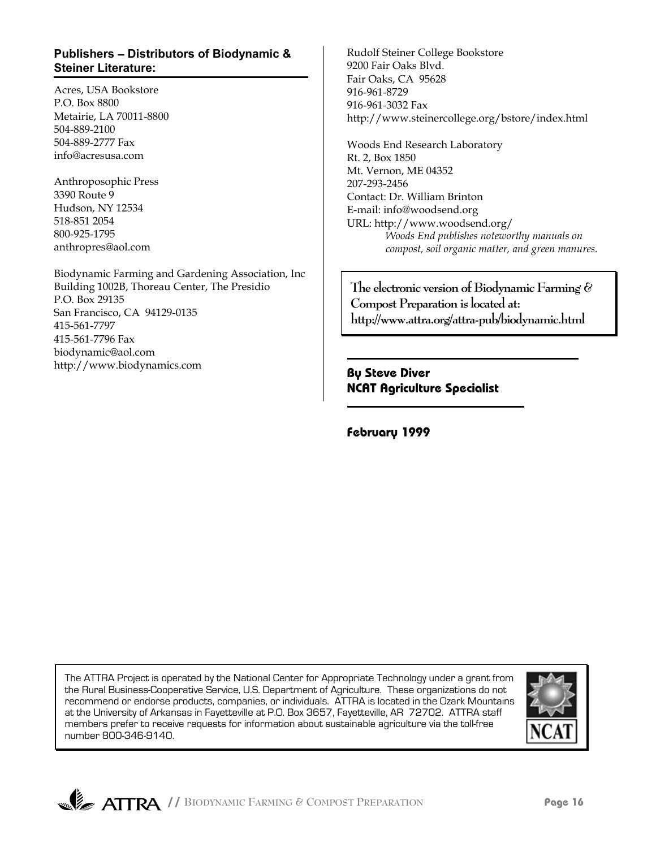#### **Publishers** − **Distributors of Biodynamic & Steiner Literature:**

Acres, USA Bookstore P.O. Box 8800 Metairie, LA 70011-8800 504-889-2100 504-889-2777 Fax info@acresusa.com

Anthroposophic Press 3390 Route 9 Hudson, NY 12534 518-851 2054 800-925-1795 anthropres@aol.com

Biodynamic Farming and Gardening Association, Inc Building 1002B, Thoreau Center, The Presidio P.O. Box 29135 San Francisco, CA 94129-0135 415-561-7797 415-561-7796 Fax biodynamic@aol.com http://www.biodynamics.com

Rudolf Steiner College Bookstore 9200 Fair Oaks Blvd. Fair Oaks, CA 95628 916-961-8729 916-961-3032 Fax http://www.steinercollege.org/bstore/index.html

Woods End Research Laboratory Rt. 2, Box 1850 Mt. Vernon, ME 04352 207-293-2456 Contact: Dr. William Brinton E-mail: info@woodsend.org URL: http://www.woodsend.org/ *Woods End publishes noteworthy manuals on compost, soil organic matter, and green manures.*

**The electronic version of Biodynamic Farming & Compost Preparation is located at: http://www.attra.org/attra-pub/biodynamic.html**

**By Steve Diver NCAT Agriculture Specialist**

**February 1999**

The ATTRA Project is operated by the National Center for Appropriate Technology under a grant from the Rural Business-Cooperative Service, U.S. Department of Agriculture. These organizations do not recommend or endorse products, companies, or individuals. ATTRA is located in the Ozark Mountains at the University of Arkansas in Fayetteville at P.O. Box 3657, Fayetteville, AR 72702. ATTRA staff members prefer to receive requests for information about sustainable agriculture via the toll-free number 800-346-9140.

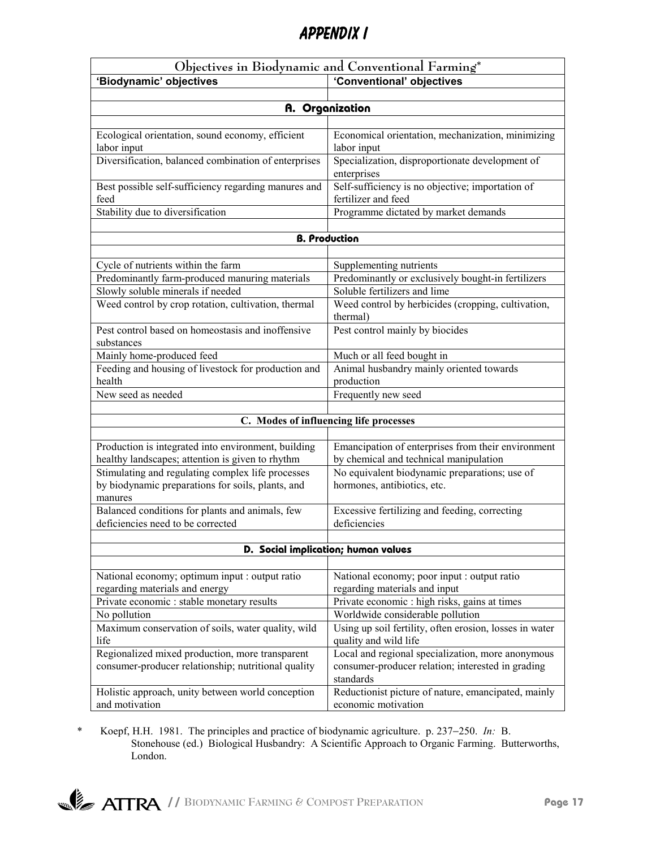# Appendix I

| Objectives in Biodynamic and Conventional Farming*                           |                                                                                   |  |  |
|------------------------------------------------------------------------------|-----------------------------------------------------------------------------------|--|--|
| 'Conventional' objectives<br>'Biodynamic' objectives                         |                                                                                   |  |  |
|                                                                              |                                                                                   |  |  |
|                                                                              | A. Organization                                                                   |  |  |
|                                                                              |                                                                                   |  |  |
| Ecological orientation, sound economy, efficient                             | Economical orientation, mechanization, minimizing                                 |  |  |
| labor input                                                                  | labor input                                                                       |  |  |
| Diversification, balanced combination of enterprises                         | Specialization, disproportionate development of                                   |  |  |
|                                                                              | enterprises                                                                       |  |  |
| Best possible self-sufficiency regarding manures and                         | Self-sufficiency is no objective; importation of                                  |  |  |
| feed<br>Stability due to diversification                                     | fertilizer and feed                                                               |  |  |
|                                                                              | Programme dictated by market demands                                              |  |  |
|                                                                              | <b>B. Production</b>                                                              |  |  |
|                                                                              |                                                                                   |  |  |
| Cycle of nutrients within the farm                                           | Supplementing nutrients                                                           |  |  |
| Predominantly farm-produced manuring materials                               | Predominantly or exclusively bought-in fertilizers                                |  |  |
| Slowly soluble minerals if needed                                            | Soluble fertilizers and lime                                                      |  |  |
| Weed control by crop rotation, cultivation, thermal                          | Weed control by herbicides (cropping, cultivation,                                |  |  |
|                                                                              | thermal)                                                                          |  |  |
| Pest control based on homeostasis and inoffensive                            | Pest control mainly by biocides                                                   |  |  |
| substances                                                                   |                                                                                   |  |  |
| Mainly home-produced feed                                                    | Much or all feed bought in                                                        |  |  |
| Feeding and housing of livestock for production and                          | Animal husbandry mainly oriented towards                                          |  |  |
| health                                                                       | production                                                                        |  |  |
| New seed as needed                                                           | Frequently new seed                                                               |  |  |
|                                                                              |                                                                                   |  |  |
| C. Modes of influencing life processes                                       |                                                                                   |  |  |
| Production is integrated into environment, building                          | Emancipation of enterprises from their environment                                |  |  |
| healthy landscapes; attention is given to rhythm                             | by chemical and technical manipulation                                            |  |  |
| Stimulating and regulating complex life processes                            | No equivalent biodynamic preparations; use of                                     |  |  |
| by biodynamic preparations for soils, plants, and                            | hormones, antibiotics, etc.                                                       |  |  |
| manures                                                                      |                                                                                   |  |  |
| Balanced conditions for plants and animals, few                              | Excessive fertilizing and feeding, correcting                                     |  |  |
| deficiencies need to be corrected                                            | deficiencies                                                                      |  |  |
|                                                                              |                                                                                   |  |  |
| D. Social implication; human values                                          |                                                                                   |  |  |
|                                                                              |                                                                                   |  |  |
| National economy; optimum input : output ratio                               | National economy; poor input : output ratio                                       |  |  |
| regarding materials and energy<br>Private economic : stable monetary results | regarding materials and input                                                     |  |  |
| No pollution                                                                 | Private economic : high risks, gains at times<br>Worldwide considerable pollution |  |  |
| Maximum conservation of soils, water quality, wild                           | Using up soil fertility, often erosion, losses in water                           |  |  |
| life                                                                         | quality and wild life                                                             |  |  |
| Regionalized mixed production, more transparent                              | Local and regional specialization, more anonymous                                 |  |  |
| consumer-producer relationship; nutritional quality                          | consumer-producer relation; interested in grading                                 |  |  |
|                                                                              | standards                                                                         |  |  |
| Holistic approach, unity between world conception                            | Reductionist picture of nature, emancipated, mainly                               |  |  |
| and motivation                                                               | economic motivation                                                               |  |  |

\* Koepf, H.H. 1981. The principles and practice of biodynamic agriculture. p. 237−250. *In:* B. Stonehouse (ed.) Biological Husbandry: A Scientific Approach to Organic Farming. Butterworths, London.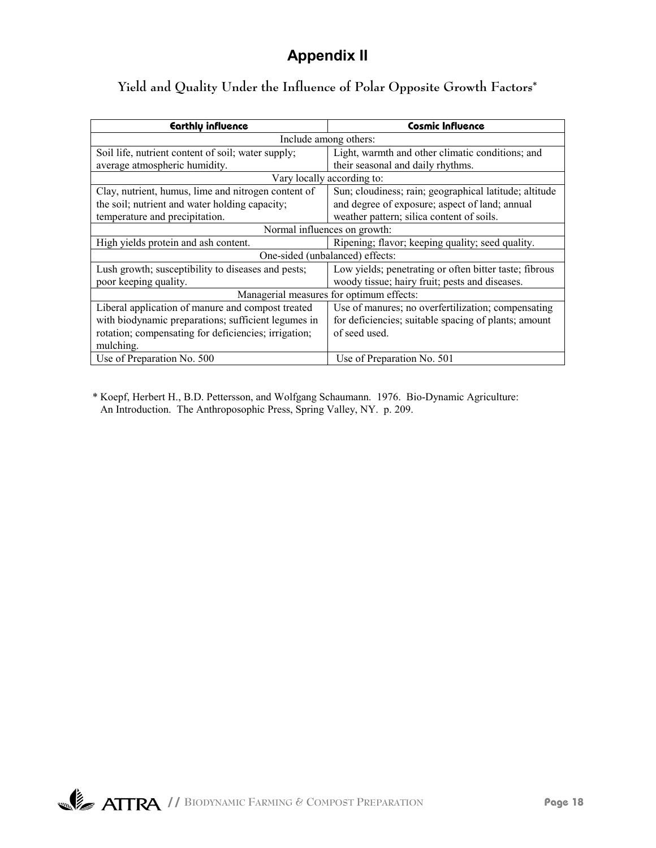# **Appendix II**

| Earthly influence                                                                                            | <b>Cosmic Influence</b>                                |  |
|--------------------------------------------------------------------------------------------------------------|--------------------------------------------------------|--|
|                                                                                                              | Include among others:                                  |  |
| Soil life, nutrient content of soil; water supply;                                                           | Light, warmth and other climatic conditions; and       |  |
| average atmospheric humidity.                                                                                | their seasonal and daily rhythms.                      |  |
|                                                                                                              | Vary locally according to:                             |  |
| Clay, nutrient, humus, lime and nitrogen content of                                                          | Sun; cloudiness; rain; geographical latitude; altitude |  |
| the soil; nutrient and water holding capacity;                                                               | and degree of exposure; aspect of land; annual         |  |
| temperature and precipitation.                                                                               | weather pattern; silica content of soils.              |  |
| Normal influences on growth:                                                                                 |                                                        |  |
| High yields protein and ash content.<br>Ripening; flavor; keeping quality; seed quality.                     |                                                        |  |
| One-sided (unbalanced) effects:                                                                              |                                                        |  |
| Low yields; penetrating or often bitter taste; fibrous<br>Lush growth; susceptibility to diseases and pests; |                                                        |  |
| poor keeping quality.<br>woody tissue; hairy fruit; pests and diseases.                                      |                                                        |  |
| Managerial measures for optimum effects:                                                                     |                                                        |  |
| Liberal application of manure and compost treated<br>Use of manures; no overfertilization; compensating      |                                                        |  |
| with biodynamic preparations; sufficient legumes in                                                          | for deficiencies; suitable spacing of plants; amount   |  |
| rotation; compensating for deficiencies; irrigation;                                                         | of seed used.                                          |  |
| mulching.                                                                                                    |                                                        |  |
| Use of Preparation No. 500                                                                                   | Use of Preparation No. 501                             |  |

# **Yield and Quality Under the Influence of Polar Opposite Growth Factors\***

\* Koepf, Herbert H., B.D. Pettersson, and Wolfgang Schaumann. 1976. Bio-Dynamic Agriculture: An Introduction. The Anthroposophic Press, Spring Valley, NY. p. 209.

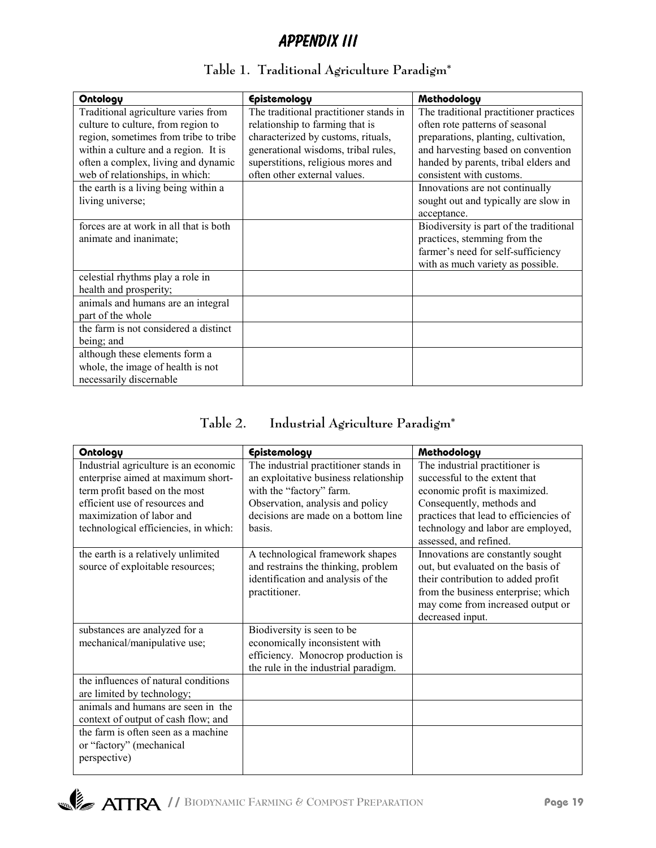# Appendix III

| Ontology                               | Epistemology                           | Methodology                             |
|----------------------------------------|----------------------------------------|-----------------------------------------|
| Traditional agriculture varies from    | The traditional practitioner stands in | The traditional practitioner practices  |
| culture to culture, from region to     | relationship to farming that is        | often rote patterns of seasonal         |
| region, sometimes from tribe to tribe  | characterized by customs, rituals,     | preparations, planting, cultivation,    |
| within a culture and a region. It is   | generational wisdoms, tribal rules,    | and harvesting based on convention      |
| often a complex, living and dynamic    | superstitions, religious mores and     | handed by parents, tribal elders and    |
| web of relationships, in which:        | often other external values.           | consistent with customs.                |
| the earth is a living being within a   |                                        | Innovations are not continually         |
| living universe;                       |                                        | sought out and typically are slow in    |
|                                        |                                        | acceptance.                             |
| forces are at work in all that is both |                                        | Biodiversity is part of the traditional |
| animate and inanimate;                 |                                        | practices, stemming from the            |
|                                        |                                        | farmer's need for self-sufficiency      |
|                                        |                                        | with as much variety as possible.       |
| celestial rhythms play a role in       |                                        |                                         |
| health and prosperity;                 |                                        |                                         |
| animals and humans are an integral     |                                        |                                         |
| part of the whole                      |                                        |                                         |
| the farm is not considered a distinct  |                                        |                                         |
| being; and                             |                                        |                                         |
| although these elements form a         |                                        |                                         |
| whole, the image of health is not      |                                        |                                         |
| necessarily discernable                |                                        |                                         |

# **Table 1. Traditional Agriculture Paradigm\***

| Table 2. | Industrial Agriculture Paradigm <sup>*</sup> |  |
|----------|----------------------------------------------|--|
|          |                                              |  |

| Ontology                              | Epistemology                          | Methodology                                                  |
|---------------------------------------|---------------------------------------|--------------------------------------------------------------|
| Industrial agriculture is an economic | The industrial practitioner stands in | The industrial practitioner is                               |
| enterprise aimed at maximum short-    | an exploitative business relationship | successful to the extent that                                |
| term profit based on the most         | with the "factory" farm.              | economic profit is maximized.                                |
| efficient use of resources and        | Observation, analysis and policy      | Consequently, methods and                                    |
| maximization of labor and             | decisions are made on a bottom line   | practices that lead to efficiencies of                       |
| technological efficiencies, in which: | basis.                                | technology and labor are employed,<br>assessed, and refined. |
| the earth is a relatively unlimited   | A technological framework shapes      | Innovations are constantly sought                            |
| source of exploitable resources;      | and restrains the thinking, problem   | out, but evaluated on the basis of                           |
|                                       | identification and analysis of the    | their contribution to added profit                           |
|                                       | practitioner.                         | from the business enterprise; which                          |
|                                       |                                       | may come from increased output or                            |
|                                       |                                       | decreased input.                                             |
| substances are analyzed for a         | Biodiversity is seen to be            |                                                              |
| mechanical/manipulative use;          | economically inconsistent with        |                                                              |
|                                       | efficiency. Monocrop production is    |                                                              |
|                                       | the rule in the industrial paradigm.  |                                                              |
| the influences of natural conditions  |                                       |                                                              |
| are limited by technology;            |                                       |                                                              |
| animals and humans are seen in the    |                                       |                                                              |
| context of output of cash flow; and   |                                       |                                                              |
| the farm is often seen as a machine   |                                       |                                                              |
| or "factory" (mechanical              |                                       |                                                              |
| perspective)                          |                                       |                                                              |
|                                       |                                       |                                                              |